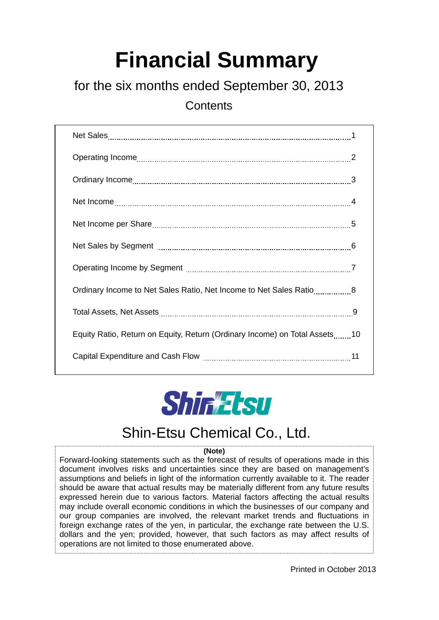# **Financial Summary**

# for the six months ended September 30, 2013

**Contents** 

| Ordinary Income to Net Sales Ratio, Net Income to Net Sales Ratio8         |  |
|----------------------------------------------------------------------------|--|
|                                                                            |  |
| Equity Ratio, Return on Equity, Return (Ordinary Income) on Total Assets10 |  |
|                                                                            |  |



# Shin-Etsu Chemical Co., Ltd.

#### **(Note)**

Forward-looking statements such as the forecast of results of operations made in this document involves risks and uncertainties since they are based on management's assumptions and beliefs in light of the information currently available to it. The reader should be aware that actual results may be materially different from any future results expressed herein due to various factors. Material factors affecting the actual results may include overall economic conditions in which the businesses of our company and our group companies are involved, the relevant market trends and fluctuations in foreign exchange rates of the yen, in particular, the exchange rate between the U.S. dollars and the yen; provided, however, that such factors as may affect results of operations are not limited to those enumerated above.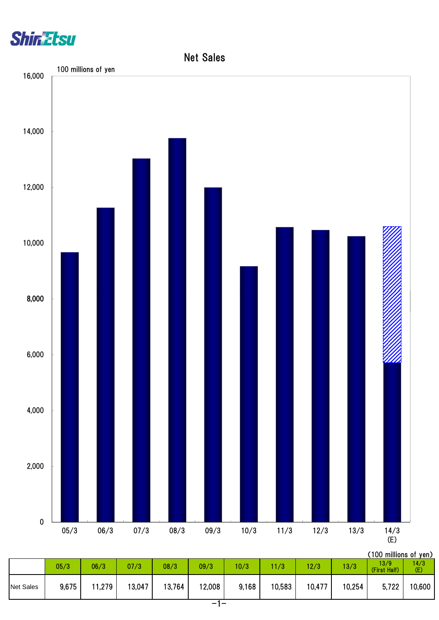



|                  |       |        |        |        | - - -  |       |        |        |        |                        |              |
|------------------|-------|--------|--------|--------|--------|-------|--------|--------|--------|------------------------|--------------|
| <b>Net Sales</b> | 9,675 | 11,279 | 13,047 | 13,764 | 12,008 | 9,168 | 10,583 | 10,477 | 10,254 | 5,722                  | 10,600       |
|                  | 05/3  | 06/3   | 07/3   | 08/3   | 09/3   | 10/3  | 11/3   | 12/3   | 13/3   | । ১/ খ<br>(First Half) | 1470.<br>(E) |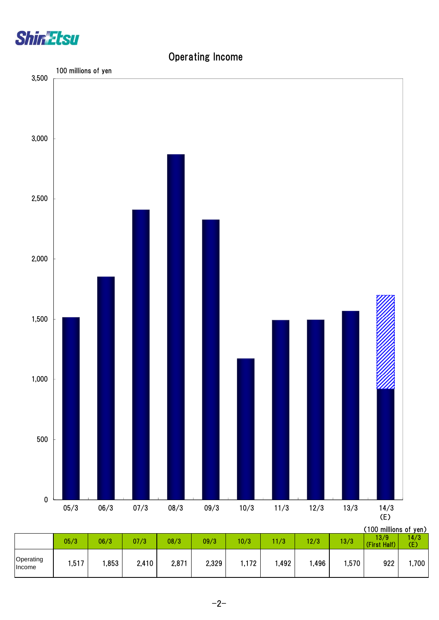

## Operating Income

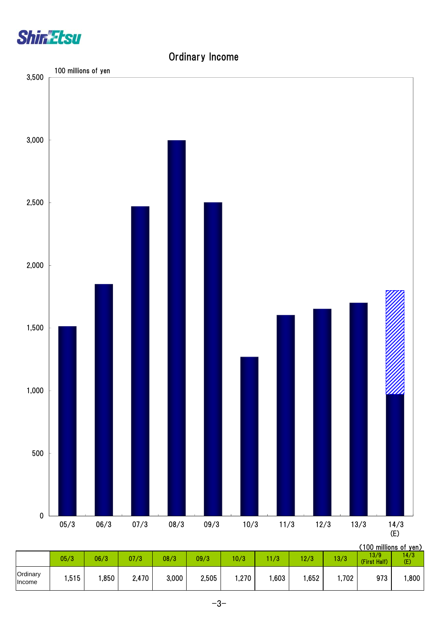

## Ordinary Income



|                    |      |      |       |       |       |      |      |      |       | , I UV TIIIIIIUII 5 UL YUITZ |             |
|--------------------|------|------|-------|-------|-------|------|------|------|-------|------------------------------|-------------|
|                    | 05/3 | 06/3 | 07/3  | 08/3  | 09/3  | 10/3 | 11/3 | 12/3 | 13/3  | 13/9<br>(First Half)         | 14/3<br>(E) |
| Ordinary<br>Income | ,515 | ,850 | 2,470 | 3,000 | 2,505 | ,270 | ,603 | ,652 | 1,702 | 973                          | ,800        |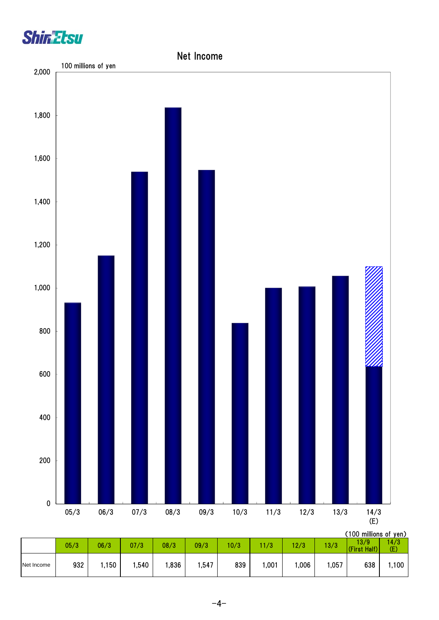



|            | 05/3 | 06/3  | 07/3 | 08/3 | 09/3 | 10/3 | 1/3  | 12/3 | 13/3  | , IVV IIIIIIIVIII VI JUII <i>I</i><br>13/9<br>(First Half) | 14/3<br>(E) |
|------------|------|-------|------|------|------|------|------|------|-------|------------------------------------------------------------|-------------|
| Net Income | 932  | .,150 | ,540 | ,836 | ,547 | 839  | ,001 | ,006 | 1,057 | 638                                                        | 1,100       |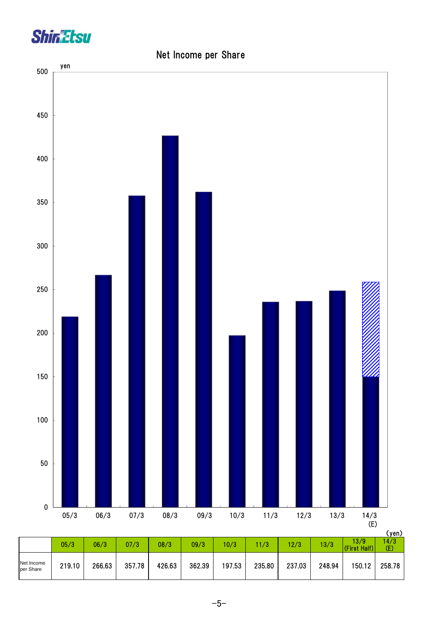



## Net Income per Share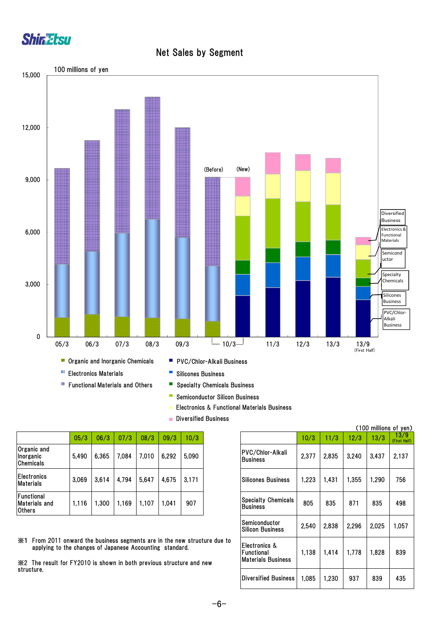

#### Net Sales by Segment



- **Functional Materials and Others**
- Specialty Chemicals Business
- $\mathcal{L}_{\mathcal{A}}$ Semiconductor Silicon Business
- Electronics & Functional Materials Business
- **Diversified Business**

|       |       |       |       |       |       |                                               |     |               |       |       | <b>VION HIMMING AT A</b> |
|-------|-------|-------|-------|-------|-------|-----------------------------------------------|-----|---------------|-------|-------|--------------------------|
| 05/3  | 06/3  | 07/3  | 08/3  | 09/3  | 10/3  |                                               |     | 11/3          | 12/3  | 13/3  | 13/<br>(First H          |
| 5,490 | 6,365 | 7,084 | 7.010 | 6,292 | 5,090 | PVC/Chlor-Alkali<br><b>Business</b>           |     | 2.835         | 3,240 | 3,437 | 2,13                     |
| 3.069 | 3,614 | 4,794 | 5,647 | 4,675 | 3,171 | Silicones Business                            |     | 1,431         | 1,355 | 1,290 |                          |
| 1.116 | .300  | 1,169 | 1,107 | .041  | 907   | <b>Specialty Chemicals</b><br><b>Business</b> | 805 | 835           | 871   | 835   |                          |
|       |       |       |       |       |       |                                               |     | 10/3<br>2,377 | ,223  |       |                          |

※1 From 2011 onward the business segments are in the new structure due to applying to the changes of Japanese Accounting standard.

※2 The result for FY2010 is shown in both previous structure and new structure.

|       |                                                                                               |       |       |       |       |                                                            |                                                          |       |       |       |       | (100 millions of yen) |
|-------|-----------------------------------------------------------------------------------------------|-------|-------|-------|-------|------------------------------------------------------------|----------------------------------------------------------|-------|-------|-------|-------|-----------------------|
| 05/3  | 06/3                                                                                          | 07/3  | 08/3  | 09/3  | 10/3  |                                                            |                                                          | 10/3  | 11/3  | 12/3  | 13/3  | 13/9<br>(First Half)  |
| 5,490 | 6.365                                                                                         | 7.084 | 7.010 | 6,292 | 5,090 |                                                            | <b>PVC/Chlor-Alkali</b><br><b>Business</b>               | 2,377 | 2,835 | 3,240 | 3,437 | 2,137                 |
| 3,069 | 3.614                                                                                         | 4,794 | 5.647 | 4,675 | 3.171 |                                                            | <b>Silicones Business</b>                                | 1,223 | 1,431 | 1,355 | 1,290 | 756                   |
| 1,116 | 1,300                                                                                         | 1,169 | 1,107 | 1.041 | 907   |                                                            | <b>Specialty Chemicals</b><br><b>Business</b>            | 805   | 835   | 871   | 835   | 498                   |
|       |                                                                                               |       |       |       |       |                                                            | Semiconductor<br><b>Silicon Business</b>                 | 2,540 | 2,838 | 2.296 | 2.025 | 1,057                 |
|       | changes of Japanese Accounting standard.<br>Y2010 is shown in both previous structure and new |       |       |       |       | vard the business segments are in the new structure due to | Electronics &<br>Functional<br><b>Materials Business</b> | 1,138 | 1,414 | 1,778 | 1,828 | 839                   |
|       |                                                                                               |       |       |       |       |                                                            | <b>Diversified Business</b>                              | 1,085 | 1,230 | 937   | 839   | 435                   |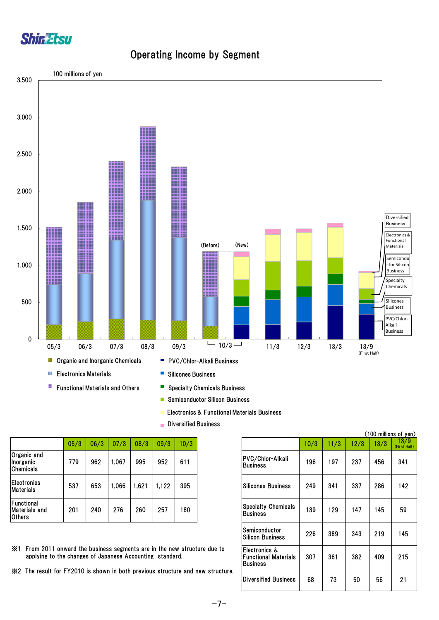

## Operating Income by Segment



- $\overline{\phantom{a}}$ Semiconductor Silicon Business
- Electronics & Functional Materials Business
- $\mathbf{r}$ Diversified Business

| 05/3 | 06/3 | 07/3  | 08/3 | 09/3 | 10/3 |
|------|------|-------|------|------|------|
| 779  | 962  | ,067  | 995  | 952  | 611  |
| 537  | 653  | 1,066 | .621 | ,122 | 395  |
| 201  | 240  | 276   | 260  | 257  | 180  |
|      |      |       |      |      |      |

| 05/3 | 06/3 | 07/3                                     | 08/3  | 09/3  | 10/3 |                                                              |                                                                 | 10/3 | 11/3 | 12/3 | 13/3 | <u>। ১/ ৬</u><br>(First Half) |
|------|------|------------------------------------------|-------|-------|------|--------------------------------------------------------------|-----------------------------------------------------------------|------|------|------|------|-------------------------------|
| 779  | 962  | 1,067                                    | 995   | 952   | 611  |                                                              | PVC/Chlor-Alkali<br><b>Business</b>                             | 196  | 197  | 237  | 456  | 341                           |
| 537  | 653  | 1,066                                    | 1,621 | 1,122 | 395  |                                                              | <b>Silicones Business</b>                                       | 249  | 341  | 337  | 286  | 142                           |
| 201  | 240  | 276                                      | 260   | 257   | 180  |                                                              | <b>Specialty Chemicals</b><br><b>Business</b>                   | 139  | 129  | 147  | 145  | 59                            |
|      |      |                                          |       |       |      |                                                              | Semiconductor<br><b>Silicon Business</b>                        | 226  | 389  | 343  | 219  | 145                           |
|      |      | changes of Japanese Accounting standard. |       |       |      | ard the business segments are in the new structure due to    | Electronics &<br><b>Functional Materials</b><br><b>Business</b> | 307  | 361  | 382  | 409  | 215                           |
|      |      |                                          |       |       |      | 12010 is shown in both previous structure and new structure. | Diversified Business                                            | 68   | 73   | 50   | 56   | 21                            |

(100 millions of yen)

- ※1 From 2011 onward the business segments are in the new structure due to applying to the changes of Japanese Accounting standard.
- ※2 The result for FY2010 is shown in both previous structure and new structure.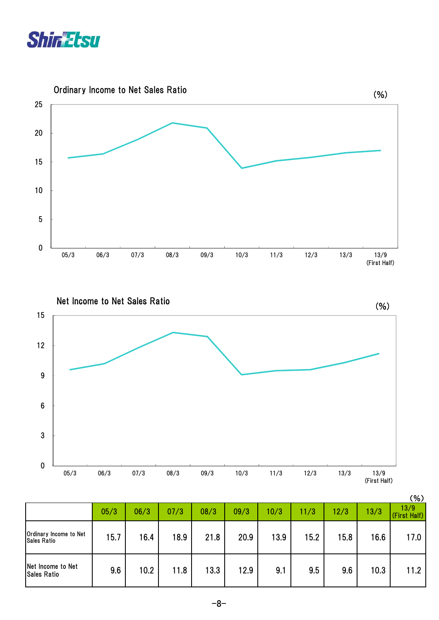





|                                              |      |      |      |      |      |      |      |      |      | (%)                  |
|----------------------------------------------|------|------|------|------|------|------|------|------|------|----------------------|
|                                              | 05/3 | 06/3 | 07/3 | 08/3 | 09/3 | 10/3 | 11/3 | 12/3 | 13/3 | 13/9<br>(First Half) |
| Ordinary Income to Net<br><b>Sales Ratio</b> | 15.7 | 16.4 | 18.9 | 21.8 | 20.9 | 13.9 | 15.2 | 15.8 | 16.6 | 17.0                 |
| Net Income to Net<br><b>Sales Ratio</b>      | 9.6  | 10.2 | 11.8 | 13.3 | 12.9 | 9.1  | 9.5  | 9.6  | 10.3 | 11.2                 |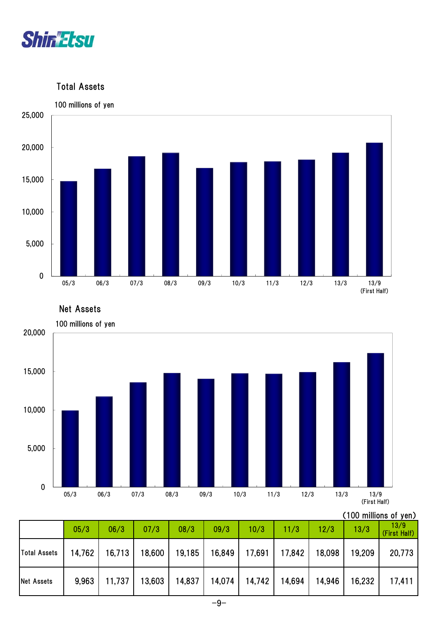

Total Assets



Net Assets



#### (100 millions of yen)

|                   | 05/3  | 06/3                                                         | 07/3 | 08/3 | 09/3 | 10/3                                                | 11/3 | 12/3   | 13/3          | 13/9<br>(First Half) |
|-------------------|-------|--------------------------------------------------------------|------|------|------|-----------------------------------------------------|------|--------|---------------|----------------------|
| Total Assets      |       | 14,762   16,713   18,600   19,185   16,849   17,691   17,842 |      |      |      |                                                     |      |        | 18,098 19,209 | 20,773               |
| <b>Net Assets</b> | 9,963 |                                                              |      |      |      | 11,737   13,603   14,837   14,074   14,742   14,694 |      | 14,946 | 16,232        | 17,411               |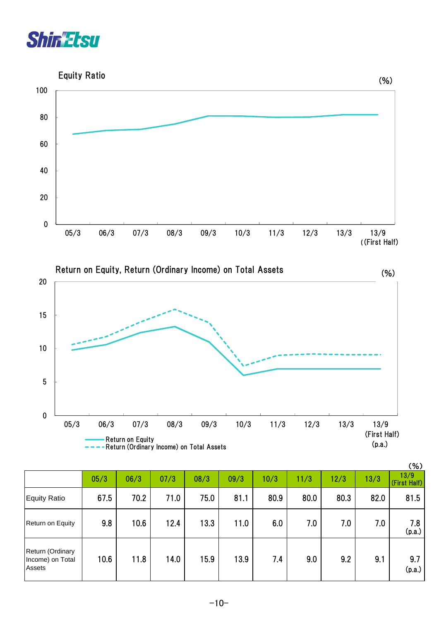



Return on Equity, Return (Ordinary Income) on Total Assets



|                                                       |      |      |      |      |      |      |      |      |      | (% )                 |
|-------------------------------------------------------|------|------|------|------|------|------|------|------|------|----------------------|
|                                                       | 05/3 | 06/3 | 07/3 | 08/3 | 09/3 | 10/3 | 11/3 | 12/3 | 13/3 | 13/9<br>(First Half) |
| Equity Ratio                                          | 67.5 | 70.2 | 71.0 | 75.0 | 81.1 | 80.9 | 80.0 | 80.3 | 82.0 | 81.5                 |
| Return on Equity                                      | 9.8  | 10.6 | 12.4 | 13.3 | 11.0 | 6.0  | 7.0  | 7.0  | 7.0  | 7.8<br>(p.a.)        |
| Return (Ordinary<br>Income) on Total<br><b>Assets</b> | 10.6 | 11.8 | 14.0 | 15.9 | 13.9 | 7.4  | 9.0  | 9.2  | 9.1  | 9.7<br>(p.a.)        |